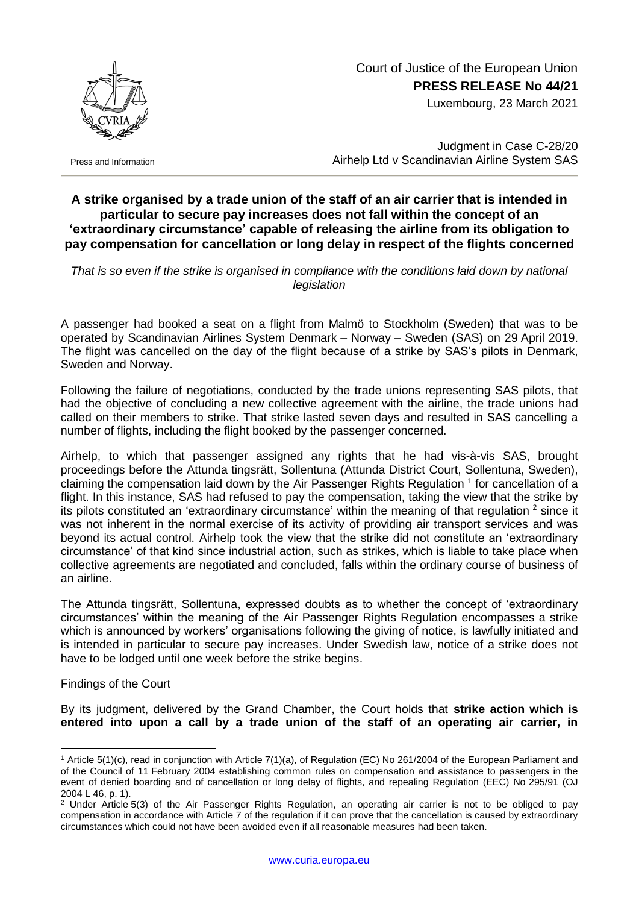

Luxembourg, 23 March 2021



Press and Information

Judgment in Case C-28/20 Airhelp Ltd v Scandinavian Airline System SAS

## **A strike organised by a trade union of the staff of an air carrier that is intended in particular to secure pay increases does not fall within the concept of an 'extraordinary circumstance' capable of releasing the airline from its obligation to pay compensation for cancellation or long delay in respect of the flights concerned**

That is so even if the strike is organised in compliance with the conditions laid down by national *legislation*

A passenger had booked a seat on a flight from Malmö to Stockholm (Sweden) that was to be operated by Scandinavian Airlines System Denmark – Norway – Sweden (SAS) on 29 April 2019. The flight was cancelled on the day of the flight because of a strike by SAS's pilots in Denmark, Sweden and Norway.

Following the failure of negotiations, conducted by the trade unions representing SAS pilots, that had the objective of concluding a new collective agreement with the airline, the trade unions had called on their members to strike. That strike lasted seven days and resulted in SAS cancelling a number of flights, including the flight booked by the passenger concerned.

Airhelp, to which that passenger assigned any rights that he had vis-à-vis SAS, brought proceedings before the Attunda tingsrätt, Sollentuna (Attunda District Court, Sollentuna, Sweden), claiming the compensation laid down by the Air Passenger Rights Regulation <sup>1</sup> for cancellation of a flight. In this instance, SAS had refused to pay the compensation, taking the view that the strike by its pilots constituted an 'extraordinary circumstance' within the meaning of that regulation <sup>2</sup> since it was not inherent in the normal exercise of its activity of providing air transport services and was beyond its actual control. Airhelp took the view that the strike did not constitute an 'extraordinary circumstance' of that kind since industrial action, such as strikes, which is liable to take place when collective agreements are negotiated and concluded, falls within the ordinary course of business of an airline.

The Attunda tingsrätt, Sollentuna, expressed doubts as to whether the concept of 'extraordinary circumstances' within the meaning of the Air Passenger Rights Regulation encompasses a strike which is announced by workers' organisations following the giving of notice, is lawfully initiated and is intended in particular to secure pay increases. Under Swedish law, notice of a strike does not have to be lodged until one week before the strike begins.

Findings of the Court

1

By its judgment, delivered by the Grand Chamber, the Court holds that **strike action which is entered into upon a call by a trade union of the staff of an operating air carrier, in** 

<sup>1</sup> Article 5(1)(c), read in conjunction with Article 7(1)(a), of Regulation (EC) No 261/2004 of the European Parliament and of the Council of 11 February 2004 establishing common rules on compensation and assistance to passengers in the event of denied boarding and of cancellation or long delay of flights, and repealing Regulation (EEC) No 295/91 (OJ 2004 L 46, p. 1).

<sup>&</sup>lt;sup>2</sup> Under Article 5(3) of the Air Passenger Rights Regulation, an operating air carrier is not to be obliged to pay compensation in accordance with Article 7 of the regulation if it can prove that the cancellation is caused by extraordinary circumstances which could not have been avoided even if all reasonable measures had been taken.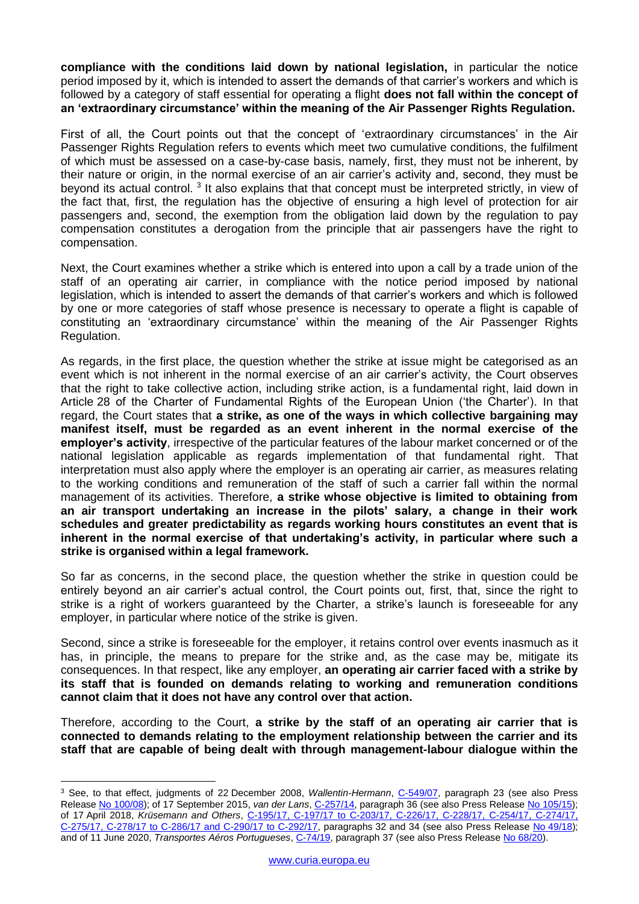**compliance with the conditions laid down by national legislation,** in particular the notice period imposed by it, which is intended to assert the demands of that carrier's workers and which is followed by a category of staff essential for operating a flight **does not fall within the concept of an 'extraordinary circumstance' within the meaning of the Air Passenger Rights Regulation.**

First of all, the Court points out that the concept of 'extraordinary circumstances' in the Air Passenger Rights Regulation refers to events which meet two cumulative conditions, the fulfilment of which must be assessed on a case-by-case basis, namely, first, they must not be inherent, by their nature or origin, in the normal exercise of an air carrier's activity and, second, they must be beyond its actual control.<sup>3</sup> It also explains that that concept must be interpreted strictly, in view of the fact that, first, the regulation has the objective of ensuring a high level of protection for air passengers and, second, the exemption from the obligation laid down by the regulation to pay compensation constitutes a derogation from the principle that air passengers have the right to compensation.

Next, the Court examines whether a strike which is entered into upon a call by a trade union of the staff of an operating air carrier, in compliance with the notice period imposed by national legislation, which is intended to assert the demands of that carrier's workers and which is followed by one or more categories of staff whose presence is necessary to operate a flight is capable of constituting an 'extraordinary circumstance' within the meaning of the Air Passenger Rights Regulation.

As regards, in the first place, the question whether the strike at issue might be categorised as an event which is not inherent in the normal exercise of an air carrier's activity, the Court observes that the right to take collective action, including strike action, is a fundamental right, laid down in Article 28 of the Charter of Fundamental Rights of the European Union ('the Charter'). In that regard, the Court states that **a strike, as one of the ways in which collective bargaining may manifest itself, must be regarded as an event inherent in the normal exercise of the employer's activity**, irrespective of the particular features of the labour market concerned or of the national legislation applicable as regards implementation of that fundamental right. That interpretation must also apply where the employer is an operating air carrier, as measures relating to the working conditions and remuneration of the staff of such a carrier fall within the normal management of its activities. Therefore, **a strike whose objective is limited to obtaining from an air transport undertaking an increase in the pilots' salary, a change in their work schedules and greater predictability as regards working hours constitutes an event that is inherent in the normal exercise of that undertaking's activity, in particular where such a strike is organised within a legal framework.** 

So far as concerns, in the second place, the question whether the strike in question could be entirely beyond an air carrier's actual control, the Court points out, first, that, since the right to strike is a right of workers guaranteed by the Charter, a strike's launch is foreseeable for any employer, in particular where notice of the strike is given.

Second, since a strike is foreseeable for the employer, it retains control over events inasmuch as it has, in principle, the means to prepare for the strike and, as the case may be, mitigate its consequences. In that respect, like any employer, **an operating air carrier faced with a strike by its staff that is founded on demands relating to working and remuneration conditions cannot claim that it does not have any control over that action.**

Therefore, according to the Court, **a strike by the staff of an operating air carrier that is connected to demands relating to the employment relationship between the carrier and its staff that are capable of being dealt with through management-labour dialogue within the** 

1

<sup>&</sup>lt;sup>3</sup> See, to that effect, judgments of 22 December 2008, Wallentin-Hermann, [C-549/07,](http://curia.europa.eu/juris/documents.jsf?num=C-549/07) paragraph 23 (see also Press Release No [100/08\)](https://curia.europa.eu/jcms/upload/docs/application/pdf/2009-03/cp080100en.pdf); of 17 September 2015, *van der Lans*, [C-257/14,](http://curia.europa.eu/juris/documents.jsf?num=C-257/14) paragraph 36 (see also Press Release No [105/15\)](https://curia.europa.eu/jcms/upload/docs/application/pdf/2015-09/cp150105en.pdf); of 17 April 2018, *Krüsemann and Others*, C-195/17, C-197/17 to [C-203/17, C-226/17, C-228/17, C-254/17, C-274/17,](http://curia.europa.eu/juris/documents.jsf?num=C-195/17)  [C-275/17, C-278/17 to](http://curia.europa.eu/juris/documents.jsf?num=C-195/17) C-286/17 and C-290/17 to C-292/17, paragraphs 32 and 34 (see also Press Release No [49/18\)](https://curia.europa.eu/jcms/upload/docs/application/pdf/2018-04/cp180049en.pdf); and of 11 June 2020, *Transportes Aéros Portugueses*, [C-74/19,](http://curia.europa.eu/juris/documents.jsf?num=C-74/19) paragraph 37 (see also Press Release No [68/20\)](https://curia.europa.eu/jcms/upload/docs/application/pdf/2020-06/cp200068en.pdf).